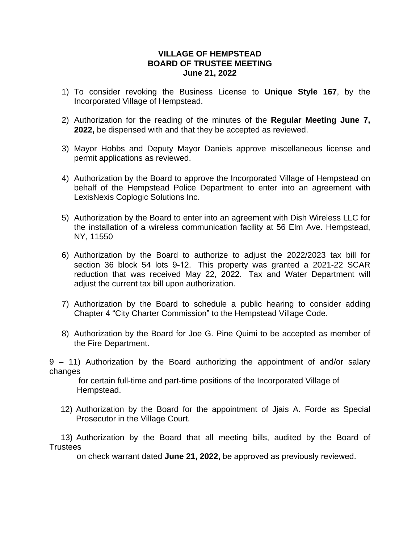## **VILLAGE OF HEMPSTEAD BOARD OF TRUSTEE MEETING June 21, 2022**

- 1) To consider revoking the Business License to **Unique Style 167**, by the Incorporated Village of Hempstead.
- 2) Authorization for the reading of the minutes of the **Regular Meeting June 7, 2022,** be dispensed with and that they be accepted as reviewed.
- 3) Mayor Hobbs and Deputy Mayor Daniels approve miscellaneous license and permit applications as reviewed.
- 4) Authorization by the Board to approve the Incorporated Village of Hempstead on behalf of the Hempstead Police Department to enter into an agreement with LexisNexis Coplogic Solutions Inc.
- 5) Authorization by the Board to enter into an agreement with Dish Wireless LLC for the installation of a wireless communication facility at 56 Elm Ave. Hempstead, NY, 11550
- 6) Authorization by the Board to authorize to adjust the 2022/2023 tax bill for section 36 block 54 lots 9-12. This property was granted a 2021-22 SCAR reduction that was received May 22, 2022. Tax and Water Department will adjust the current tax bill upon authorization.
- 7) Authorization by the Board to schedule a public hearing to consider adding Chapter 4 "City Charter Commission" to the Hempstead Village Code.
- 8) Authorization by the Board for Joe G. Pine Quimi to be accepted as member of the Fire Department.

9 – 11) Authorization by the Board authorizing the appointment of and/or salary changes

 for certain full-time and part-time positions of the Incorporated Village of Hempstead.

12) Authorization by the Board for the appointment of Jjais A. Forde as Special Prosecutor in the Village Court.

 13) Authorization by the Board that all meeting bills, audited by the Board of **Trustees** 

on check warrant dated **June 21, 2022,** be approved as previously reviewed.